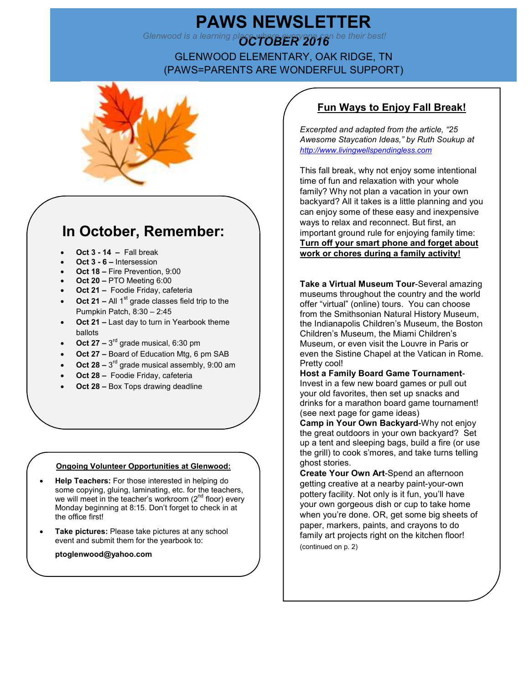# **PAWS NEWSLETTER**<br>Glenwood is a learning place whate everyone can be their b

*Glenwood is a learning place who berry 2616* be their best!

GLENWOOD ELEMENTARY, OAK RIDGE, TN (PAWS=PARENTS ARE WONDERFUL SUPPORT)



## **In October, Remember:**

- **Oct 3 14** Fall break
- **Oct 3 6** Intersession
- **Oct 18** Fire Prevention, 9:00
- **Oct 20** PTO Meeting 6:00
- **Oct 21** Foodie Friday, cafeteria
- **Oct 21 All 1<sup>st</sup> grade classes field trip to the** Pumpkin Patch, 8:30 – 2:45
- **Oct 21** Last day to turn in Yearbook theme ballots
- Oct  $27 3^{rd}$  grade musical, 6:30 pm
- **Oct 27** Board of Education Mtg, 6 pm SAB
- Oct  $28 3^{rd}$  grade musical assembly, 9:00 am
- **Oct 28** Foodie Friday, cafeteria
- **Oct 28 Box Tops drawing deadline**

#### **Ongoing Volunteer Opportunities at Glenwood:**

- **Help Teachers:** For those interested in helping do some copying, gluing, laminating, etc. for the teachers, we will meet in the teacher's workroom (2<sup>nd</sup> floor) every Monday beginning at 8:15. Don't forget to check in at the office first!
- **Take pictures:** Please take pictures at any school event and submit them for the yearbook to:
	- **ptoglenwood@yahoo.com**

## **Fun Ways to Enjoy Fall Break!**

*Excerpted and adapted from the article, "25 Awesome Staycation Ideas," by Ruth Soukup at http://www.livingwellspendingless.com*

This fall break, why not enjoy some intentional time of fun and relaxation with your whole family? Why not plan a vacation in your own backyard? All it takes is a little planning and you can enjoy some of these easy and inexpensive ways to relax and reconnect. But first, an important ground rule for enjoying family time: **Turn off your smart phone and forget about work or chores during a family activity!**

**Take a Virtual Museum Tour**-Several amazing museums throughout the country and the world offer "virtual" (online) tours. You can choose from the Smithsonian Natural History Museum, the Indianapolis Children's Museum, the Boston Children's Museum, the Miami Children's Museum, or even visit the Louvre in Paris or even the Sistine Chapel at the Vatican in Rome. Pretty cool!

**Host a Family Board Game Tournament**-Invest in a few new board games or pull out your old favorites, then set up snacks and drinks for a marathon board game tournament! (see next page for game ideas)

**Camp in Your Own Backyard**-Why not enjoy the great outdoors in your own backyard? Set up a tent and sleeping bags, build a fire (or use the grill) to cook s'mores, and take turns telling ghost stories.

**Create Your Own Art**-Spend an afternoon getting creative at a nearby paint-your-own pottery facility. Not only is it fun, you'll have your own gorgeous dish or cup to take home when you're done. OR, get some big sheets of paper, markers, paints, and crayons to do family art projects right on the kitchen floor! (continued on p. 2)